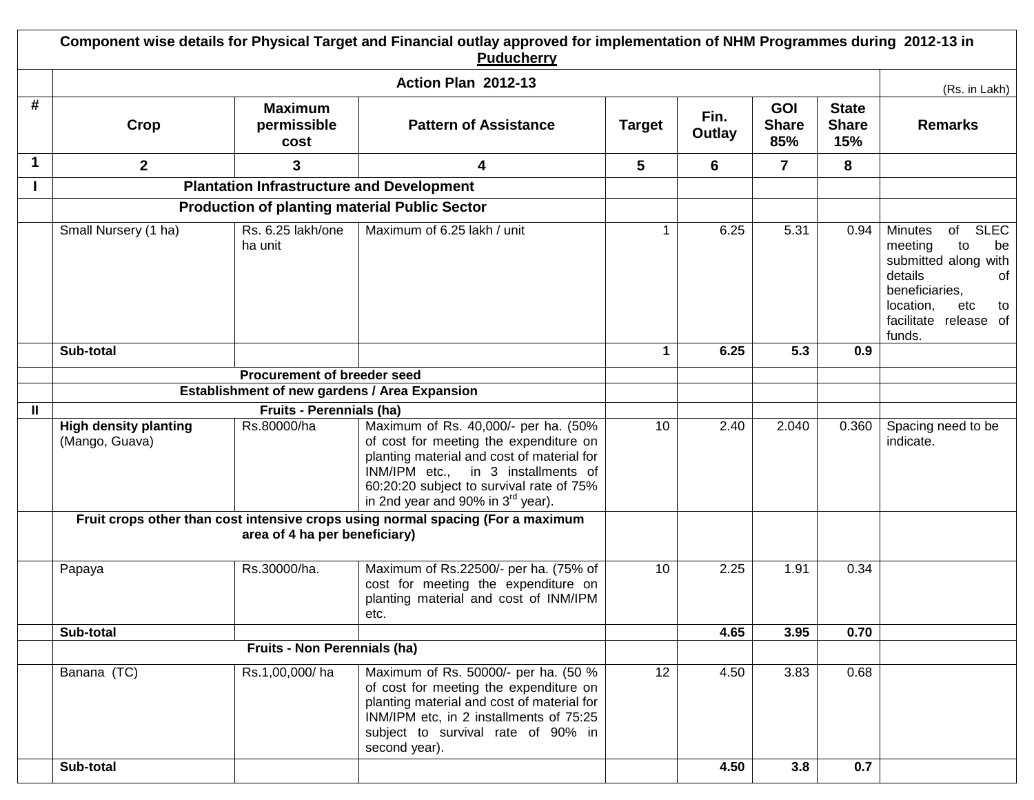| Component wise details for Physical Target and Financial outlay approved for implementation of NHM Programmes during 2012-13 in<br><b>Puducherry</b> |                                                                                                                  |                                                  |                                                                                                                                                                                                                                                          |               |                |                                   |                                     |                                                                                                                                                                             |
|------------------------------------------------------------------------------------------------------------------------------------------------------|------------------------------------------------------------------------------------------------------------------|--------------------------------------------------|----------------------------------------------------------------------------------------------------------------------------------------------------------------------------------------------------------------------------------------------------------|---------------|----------------|-----------------------------------|-------------------------------------|-----------------------------------------------------------------------------------------------------------------------------------------------------------------------------|
|                                                                                                                                                      | Action Plan 2012-13                                                                                              |                                                  |                                                                                                                                                                                                                                                          |               |                |                                   |                                     |                                                                                                                                                                             |
| #                                                                                                                                                    | Crop                                                                                                             | <b>Maximum</b><br>permissible<br>cost            | <b>Pattern of Assistance</b>                                                                                                                                                                                                                             | <b>Target</b> | Fin.<br>Outlay | <b>GOI</b><br><b>Share</b><br>85% | <b>State</b><br><b>Share</b><br>15% | (Rs. in Lakh)<br><b>Remarks</b>                                                                                                                                             |
| $\mathbf 1$                                                                                                                                          | $\overline{2}$                                                                                                   | 3                                                | 4                                                                                                                                                                                                                                                        | 5             | 6              | $\overline{7}$                    | 8                                   |                                                                                                                                                                             |
|                                                                                                                                                      |                                                                                                                  | <b>Plantation Infrastructure and Development</b> |                                                                                                                                                                                                                                                          |               |                |                                   |                                     |                                                                                                                                                                             |
|                                                                                                                                                      | <b>Production of planting material Public Sector</b>                                                             |                                                  |                                                                                                                                                                                                                                                          |               |                |                                   |                                     |                                                                                                                                                                             |
|                                                                                                                                                      | Small Nursery (1 ha)                                                                                             | Rs. 6.25 lakh/one<br>ha unit                     | Maximum of 6.25 lakh / unit                                                                                                                                                                                                                              | $\mathbf 1$   | 6.25           | 5.31                              | 0.94                                | <b>SLEC</b><br>of<br>Minutes<br>meeting<br>to<br>be<br>submitted along with<br>details<br>of<br>beneficiaries,<br>location,<br>etc<br>to<br>facilitate release of<br>funds. |
|                                                                                                                                                      | Sub-total                                                                                                        |                                                  |                                                                                                                                                                                                                                                          | $\mathbf 1$   | 6.25           | 5.3                               | 0.9                                 |                                                                                                                                                                             |
|                                                                                                                                                      | Procurement of breeder seed                                                                                      |                                                  |                                                                                                                                                                                                                                                          |               |                |                                   |                                     |                                                                                                                                                                             |
|                                                                                                                                                      |                                                                                                                  |                                                  | Establishment of new gardens / Area Expansion                                                                                                                                                                                                            |               |                |                                   |                                     |                                                                                                                                                                             |
| Ш                                                                                                                                                    |                                                                                                                  | <b>Fruits - Perennials (ha)</b>                  |                                                                                                                                                                                                                                                          |               |                |                                   |                                     |                                                                                                                                                                             |
|                                                                                                                                                      | <b>High density planting</b><br>(Mango, Guava)                                                                   | Rs.80000/ha                                      | Maximum of Rs. 40,000/- per ha. (50%<br>of cost for meeting the expenditure on<br>planting material and cost of material for<br>INM/IPM etc., in 3 installments of<br>60:20:20 subject to survival rate of 75%<br>in 2nd year and 90% in $3^{rd}$ year). | 10            | 2.40           | 2.040                             | 0.360                               | Spacing need to be<br>indicate.                                                                                                                                             |
|                                                                                                                                                      | Fruit crops other than cost intensive crops using normal spacing (For a maximum<br>area of 4 ha per beneficiary) |                                                  |                                                                                                                                                                                                                                                          |               |                |                                   |                                     |                                                                                                                                                                             |
|                                                                                                                                                      | Papaya                                                                                                           | Rs.30000/ha.                                     | Maximum of Rs.22500/- per ha. (75% of<br>cost for meeting the expenditure on<br>planting material and cost of INM/IPM<br>etc.                                                                                                                            | 10            | 2.25           | 1.91                              | 0.34                                |                                                                                                                                                                             |
|                                                                                                                                                      | Sub-total                                                                                                        |                                                  |                                                                                                                                                                                                                                                          |               | 4.65           | 3.95                              | 0.70                                |                                                                                                                                                                             |
|                                                                                                                                                      | Fruits - Non Perennials (ha)                                                                                     |                                                  |                                                                                                                                                                                                                                                          |               |                |                                   |                                     |                                                                                                                                                                             |
|                                                                                                                                                      | Banana (TC)                                                                                                      | Rs.1,00,000/ha                                   | Maximum of Rs. 50000/- per ha. (50 %<br>of cost for meeting the expenditure on<br>planting material and cost of material for<br>INM/IPM etc, in 2 installments of 75:25<br>subject to survival rate of 90% in<br>second year).                           | 12            | 4.50           | 3.83                              | 0.68                                |                                                                                                                                                                             |
|                                                                                                                                                      | Sub-total                                                                                                        |                                                  |                                                                                                                                                                                                                                                          |               | 4.50           | 3.8                               | 0.7                                 |                                                                                                                                                                             |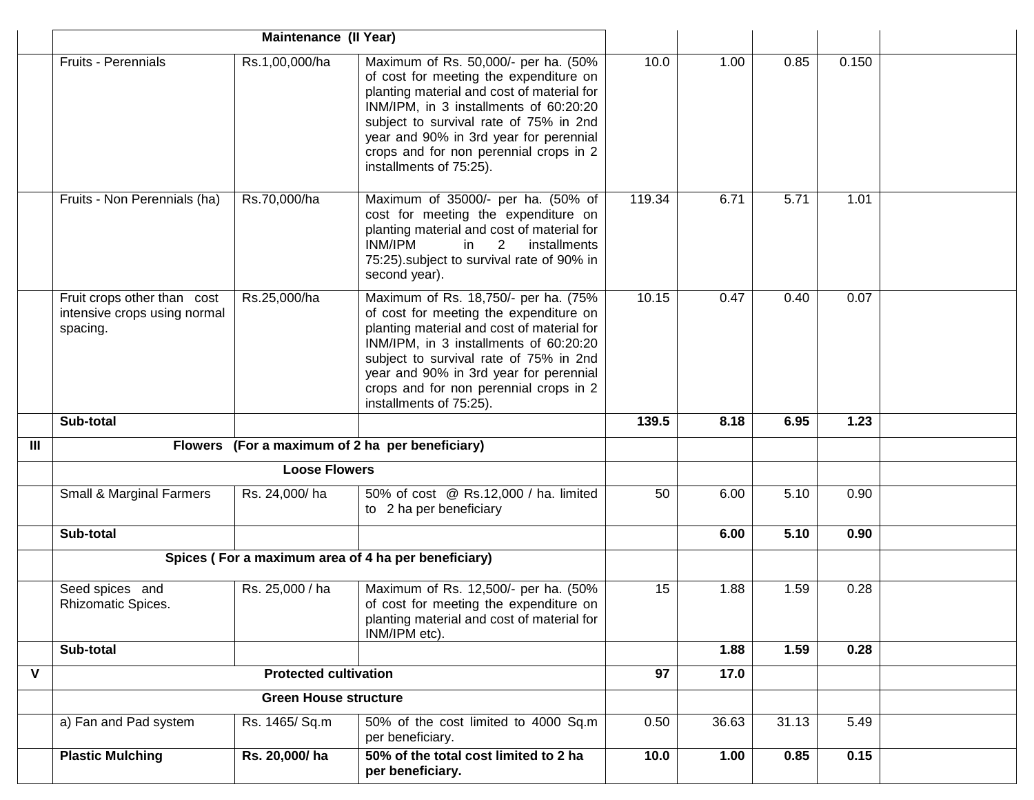|                |                                                                         | Maintenance (II Year)        |                                                                                                                                                                                                                                                                                                                                 |        |       |       |       |  |
|----------------|-------------------------------------------------------------------------|------------------------------|---------------------------------------------------------------------------------------------------------------------------------------------------------------------------------------------------------------------------------------------------------------------------------------------------------------------------------|--------|-------|-------|-------|--|
|                | <b>Fruits - Perennials</b>                                              | Rs.1,00,000/ha               | Maximum of Rs. 50,000/- per ha. (50%<br>of cost for meeting the expenditure on<br>planting material and cost of material for<br>INM/IPM, in 3 installments of 60:20:20<br>subject to survival rate of 75% in 2nd<br>year and 90% in 3rd year for perennial<br>crops and for non perennial crops in 2<br>installments of 75:25). | 10.0   | 1.00  | 0.85  | 0.150 |  |
|                | Fruits - Non Perennials (ha)                                            | Rs.70,000/ha                 | Maximum of 35000/- per ha. (50% of<br>cost for meeting the expenditure on<br>planting material and cost of material for<br>INM/IPM<br>2<br>in<br>installments<br>75:25) subject to survival rate of 90% in<br>second year).                                                                                                     | 119.34 | 6.71  | 5.71  | 1.01  |  |
|                | Fruit crops other than cost<br>intensive crops using normal<br>spacing. | Rs.25,000/ha                 | Maximum of Rs. 18,750/- per ha. (75%<br>of cost for meeting the expenditure on<br>planting material and cost of material for<br>INM/IPM, in 3 installments of 60:20:20<br>subject to survival rate of 75% in 2nd<br>year and 90% in 3rd year for perennial<br>crops and for non perennial crops in 2<br>installments of 75:25). | 10.15  | 0.47  | 0.40  | 0.07  |  |
|                | Sub-total                                                               |                              |                                                                                                                                                                                                                                                                                                                                 | 139.5  | 8.18  | 6.95  | 1.23  |  |
| $\mathbf{III}$ | Flowers (For a maximum of 2 ha per beneficiary)                         |                              |                                                                                                                                                                                                                                                                                                                                 |        |       |       |       |  |
|                | <b>Loose Flowers</b>                                                    |                              |                                                                                                                                                                                                                                                                                                                                 |        |       |       |       |  |
|                | <b>Small &amp; Marginal Farmers</b>                                     | Rs. 24,000/ha                | 50% of cost @ Rs.12,000 / ha. limited<br>to 2 ha per beneficiary                                                                                                                                                                                                                                                                | 50     | 6.00  | 5.10  | 0.90  |  |
|                | Sub-total                                                               |                              |                                                                                                                                                                                                                                                                                                                                 |        | 6.00  | 5.10  | 0.90  |  |
|                | Spices (For a maximum area of 4 ha per beneficiary)                     |                              |                                                                                                                                                                                                                                                                                                                                 |        |       |       |       |  |
|                | Seed spices and<br>Rhizomatic Spices.                                   | Rs. 25,000 / ha              | Maximum of Rs. 12,500/- per ha. (50%<br>of cost for meeting the expenditure on<br>planting material and cost of material for<br>INM/IPM etc).                                                                                                                                                                                   | 15     | 1.88  | 1.59  | 0.28  |  |
|                | Sub-total                                                               |                              |                                                                                                                                                                                                                                                                                                                                 |        | 1.88  | 1.59  | 0.28  |  |
| $\mathsf{V}$   |                                                                         | <b>Protected cultivation</b> |                                                                                                                                                                                                                                                                                                                                 | 97     | 17.0  |       |       |  |
|                | Green House structure                                                   |                              |                                                                                                                                                                                                                                                                                                                                 |        |       |       |       |  |
|                | a) Fan and Pad system                                                   | Rs. 1465/ Sq.m               | 50% of the cost limited to 4000 Sq.m<br>per beneficiary.                                                                                                                                                                                                                                                                        | 0.50   | 36.63 | 31.13 | 5.49  |  |
|                | <b>Plastic Mulching</b>                                                 | Rs. 20,000/ha                | 50% of the total cost limited to 2 ha<br>per beneficiary.                                                                                                                                                                                                                                                                       | 10.0   | 1.00  | 0.85  | 0.15  |  |